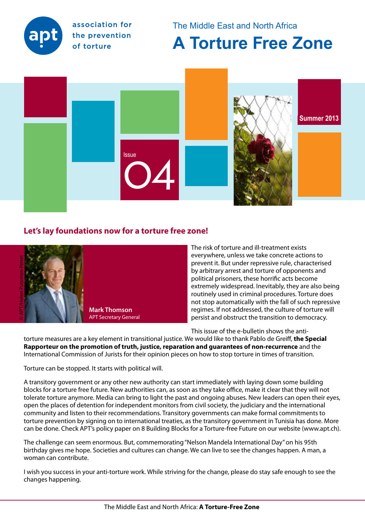

association for the prevention of torture

The Middle East and North Africa

# **A Torture Free Zone**



# **Let's lay foundations now for a torture free zone!**



The risk of torture and ill-treatment exists everywhere, unless we take concrete actions to prevent it. But under repressive rule, characterised by arbitrary arrest and torture of opponents and political prisoners, these horrific acts become extremely widespread. Inevitably, they are also being routinely used in criminal procedures. Torture does not stop automatically with the fall of such repressive regimes. If not addressed, the culture of torture will persist and obstruct the transition to democracy.

This issue of the e-bulletin shows the anti-

torture measures are a key element in transitional justice. We would like to thank Pablo de Greiff, **the Special Rapporteur on the promotion of truth, justice, reparation and guarantees of non-recurrence** and the International Commission of Jurists for their opinion pieces on how to stop torture in times of transition.

Torture can be stopped. It starts with political will.

A transitory government or any other new authority can start immediately with laying down some building blocks for a torture free future. New authorities can, as soon as they take office, make it clear that they will not tolerate torture anymore. Media can bring to light the past and ongoing abuses. New leaders can open their eyes, open the places of detention for independent monitors from civil society, the judiciary and the international community and listen to their recommendations. Transitory governments can make formal commitments to torture prevention by signing on to international treaties, as the transitory government in Tunisia has done. More can be done. Check APT's policy paper on 8 Building Blocks for a Torture-free Future on our website (www.apt.ch).

The challenge can seem enormous. But, commemorating "Nelson Mandela International Day" on his 95th birthday gives me hope. Societies and cultures can change. We can live to see the changes happen. A man, a woman can contribute.

I wish you success in your anti-torture work. While striving for the change, please do stay safe enough to see the changes happening.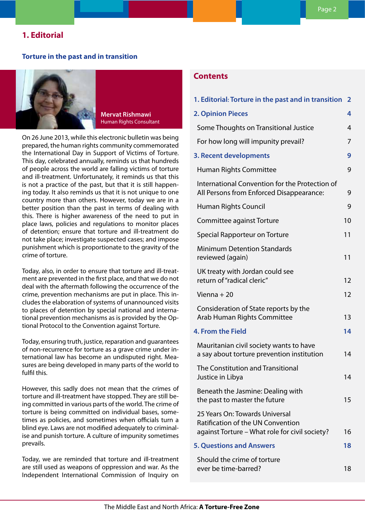## **1. Editorial**

#### **Torture in the past and in transition**



**Mervat Rishmawi**  Human Rights Consultant

On 26 June 2013, while this electronic bulletin was being prepared, the human rights community commemorated the International Day in Support of Victims of Torture. This day, celebrated annually, reminds us that hundreds of people across the world are falling victims of torture and ill-treatment. Unfortunately, it reminds us that this is not a practice of the past, but that it is still happening today. It also reminds us that it is not unique to one country more than others. However, today we are in a better position than the past in terms of dealing with this. There is higher awareness of the need to put in place laws, policies and regulations to monitor places of detention; ensure that torture and ill-treatment do not take place; investigate suspected cases; and impose punishment which is proportionate to the gravity of the crime of torture.

Today, also, in order to ensure that torture and ill-treatment are prevented in the first place, and that we do not deal with the aftermath following the occurrence of the crime, prevention mechanisms are put in place. This includes the elaboration of systems of unannounced visits to places of detention by special national and international prevention mechanisms as is provided by the Optional Protocol to the Convention against Torture.

Today, ensuring truth, justice, reparation and guarantees of non-recurrence for torture as a grave crime under international law has become an undisputed right. Measures are being developed in many parts of the world to fulfil this.

However, this sadly does not mean that the crimes of torture and ill-treatment have stopped. They are still being committed in various parts of the world. The crime of torture is being committed on individual bases, sometimes as policies, and sometimes when officials turn a blind eye. Laws are not modified adequately to criminalise and punish torture. A culture of impunity sometimes prevails.

Today, we are reminded that torture and ill-treatment are still used as weapons of oppression and war. As the Independent International Commission of Inquiry on

# **Contents**

| 1. Editorial: Torture in the past and in transition                                                                          | $\overline{2}$ |
|------------------------------------------------------------------------------------------------------------------------------|----------------|
| <b>2. Opinion Pieces</b>                                                                                                     | 4              |
| Some Thoughts on Transitional Justice                                                                                        | 4              |
| For how long will impunity prevail?                                                                                          | 7              |
| 3. Recent developments                                                                                                       | 9              |
| <b>Human Rights Committee</b>                                                                                                | 9              |
| International Convention for the Protection of<br>All Persons from Enforced Disappearance:                                   | 9              |
| Human Rights Council                                                                                                         | 9              |
| Committee against Torture                                                                                                    | 10             |
| Special Rapporteur on Torture                                                                                                | 11             |
| <b>Minimum Detention Standards</b><br>reviewed (again)                                                                       | 11             |
| UK treaty with Jordan could see<br>return of "radical cleric"                                                                | 12             |
| Vienna + $20$                                                                                                                | 12             |
| Consideration of State reports by the<br>Arab Human Rights Committee                                                         | 13             |
| 4. From the Field                                                                                                            | 14             |
| Mauritanian civil society wants to have<br>a say about torture prevention institution                                        | 14             |
| The Constitution and Transitional<br>Justice in Libya                                                                        | 14             |
| Beneath the Jasmine: Dealing with<br>the past to master the future                                                           | 15             |
| 25 Years On: Towards Universal<br><b>Ratification of the UN Convention</b><br>against Torture – What role for civil society? | 16             |
| <b>5. Questions and Answers</b>                                                                                              | 18             |
| Should the crime of torture<br>ever be time-barred?                                                                          | 18             |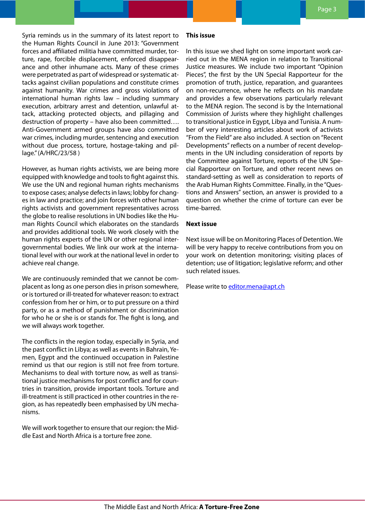Syria reminds us in the summary of its latest report to the Human Rights Council in June 2013: "Government forces and affiliated militia have committed murder, torture, rape, forcible displacement, enforced disappearance and other inhumane acts. Many of these crimes were perpetrated as part of widespread or systematic attacks against civilian populations and constitute crimes against humanity. War crimes and gross violations of international human rights law – including summary execution, arbitrary arrest and detention, unlawful attack, attacking protected objects, and pillaging and destruction of property – have also been committed…. Anti-Government armed groups have also committed war crimes, including murder, sentencing and execution without due process, torture, hostage-taking and pillage." (A/HRC/23/58 )

However, as human rights activists, we are being more equipped with knowledge and tools to fight against this. We use the UN and regional human rights mechanisms to expose cases; analyse defects in laws; lobby for changes in law and practice; and join forces with other human rights activists and government representatives across the globe to realise resolutions in UN bodies like the Human Rights Council which elaborates on the standards and provides additional tools. We work closely with the human rights experts of the UN or other regional intergovernmental bodies. We link our work at the international level with our work at the national level in order to achieve real change.

We are continuously reminded that we cannot be complacent as long as one person dies in prison somewhere, or is tortured or ill-treated for whatever reason: to extract confession from her or him, or to put pressure on a third party, or as a method of punishment or discrimination for who he or she is or stands for. The fight is long, and we will always work together.

The conflicts in the region today, especially in Syria, and the past conflict in Libya; as well as events in Bahrain, Yemen, Egypt and the continued occupation in Palestine remind us that our region is still not free from torture. Mechanisms to deal with torture now, as well as transitional justice mechanisms for post conflict and for countries in transition, provide important tools. Torture and ill-treatment is still practiced in other countries in the region, as has repeatedly been emphasised by UN mechanisms.

We will work together to ensure that our region: the Middle East and North Africa is a torture free zone.

#### **This issue**

In this issue we shed light on some important work carried out in the MENA region in relation to Transitional Justice measures. We include two important "Opinion Pieces", the first by the UN Special Rapporteur for the promotion of truth, justice, reparation, and guarantees on non-recurrence, where he reflects on his mandate and provides a few observations particularly relevant to the MENA region. The second is by the International Commission of Jurists where they highlight challenges to transitional justice in Egypt, Libya and Tunisia. A number of very interesting articles about work of activists "From the Field" are also included. A section on "Recent Developments" reflects on a number of recent developments in the UN including consideration of reports by the Committee against Torture, reports of the UN Special Rapporteur on Torture, and other recent news on standard-setting as well as consideration to reports of the Arab Human Rights Committee. Finally, in the "Questions and Answers" section, an answer is provided to a question on whether the crime of torture can ever be time-barred.

## **Next issue**

Next issue will be on Monitoring Places of Detention. We will be very happy to receive contributions from you on your work on detention monitoring; visiting places of detention; use of litigation; legislative reform; and other such related issues.

Please write to **[editor.mena@apt.ch](mailto:editor.mena%40apt.ch?subject=Feedback%3A%20APT%20MENA%20Newsletter%20%234)**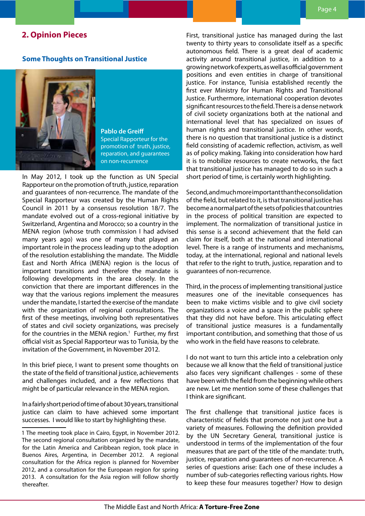## <span id="page-3-0"></span>**2. Opinion Pieces**

#### **Some Thoughts on Transitional Justice**



**Pablo de Greiff** Special Rapporteur for the promotion of truth, justice, reparation, and guarantees on non-recurrence

In May 2012, I took up the function as UN Special Rapporteur on the promotion of truth, justice, reparation and guarantees of non-recurrence. The mandate of the Special Rapporteur was created by the Human Rights Council in 2011 by a consensus resolution [18/](file:///C:\Users\mervat\Documents\APT\e-bulletin\issue%204\HRC%20R%2018-7.pdf)7. The mandate evolved out of a cross-regional initiative by Switzerland, Argentina and Morocco; so a country in the MENA region (whose truth commission I had advised many years ago) was one of many that played an important role in the process leading up to the adoption of the resolution establishing the mandate. The Middle East and North Africa (MENA) region is the locus of important transitions and therefore the mandate is following developments in the area closely. In the conviction that there are important differences in the way that the various regions implement the measures under the mandate, I started the exercise of the mandate with the organization of regional consultations. The first of these meetings, involving both representatives of states and civil society organizations, was precisely for the countries in the MENA region.<sup>1</sup> Further, my first official visit as Special Rapporteur was to Tunisia, by the invitation of the Government, in November 2012.

In this brief piece, I want to present some thoughts on the state of the field of transitional justice, achievements and challenges included, and a few reflections that might be of particular relevance in the MENA region.

In a fairly short period of time of about 30 years, transitional justice can claim to have achieved some important successes. I would like to start by highlighting these.

First, transitional justice has managed during the last twenty to thirty years to consolidate itself as a specific autonomous field. There is a great deal of academic activity around transitional justice, in addition to a growing network of experts, as well as official government positions and even entities in charge of transitional justice. For instance, Tunisia established recently the first ever Ministry for Human Rights and Transitional Justice. Furthermore, international cooperation devotes significant resources to the field. There is a dense network of civil society organizations both at the national and international level that has specialized on issues of human rights and transitional justice. In other words, there is no question that transitional justice is a distinct field consisting of academic reflection, activism, as well as of policy making. Taking into consideration how hard it is to mobilize resources to create networks, the fact that transitional justice has managed to do so in such a short period of time, is certainly worth highlighting.

Second, and much more important than the consolidation of the field, but related to it, is that transitional justice has become a normal part of the sets of policies that countries in the process of political transition are expected to implement. The normalization of transitional justice in this sense is a second achievement that the field can claim for itself, both at the national and international level. There is a range of instruments and mechanisms, today, at the international, regional and national levels that refer to the right to truth, justice, reparation and to guarantees of non-recurrence.

Third, in the process of implementing transitional justice measures one of the inevitable consequences has been to make victims visible and to give civil society organizations a voice and a space in the public sphere that they did not have before. This articulating effect of transitional justice measures is a fundamentally important contribution, and something that those of us who work in the field have reasons to celebrate.

I do not want to turn this article into a celebration only because we all know that the field of transitional justice also faces very significant challenges - some of these have been with the field from the beginning while others are new. Let me mention some of these challenges that I think are significant.

The first challenge that transitional justice faces is characteristic of fields that promote not just one but a variety of measures. Following the definition provided by the UN Secretary General, transitional justice is understood in terms of the implementation of the four measures that are part of the title of the mandate: truth, justice, reparation and guarantees of non-recurrence. A series of questions arise: Each one of these includes a number of sub-categories reflecting various rights. How to keep these four measures together? How to design

<sup>1</sup> The meeting took place in Cairo, Egypt, in November 2012. The second regional consultation organized by the mandate, for the Latin America and Caribbean region, took place in Buenos Aires, Argentina, in December 2012. A regional consultation for the Africa region is planned for November 2012, and a consultation for the European region for spring 2013. A consultation for the Asia region will follow shortly thereafter.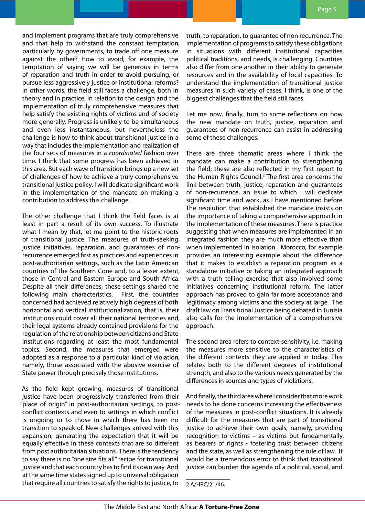and implement programs that are truly comprehensive and that help to withstand the constant temptation, particularly by governments, to trade off one measure against the other? How to avoid, for example, the temptation of saying we will be generous in terms of reparation and truth in order to avoid pursuing, or pursue less aggressively justice or institutional reforms? In other words, the field still faces a challenge, both in theory and in practice, in relation to the design and the implementation of truly comprehensive measures that help satisfy the existing rights of victims and of society more generally. Progress is unlikely to be simultaneous and even less instantaneous, but nevertheless the challenge is how to think about transitional justice in a way that includes the implementation and realization of the four sets of measures in a *coordinated* fashion over time. I think that some progress has been achieved in this area. But each wave of transition brings up a new set of challenges of how to achieve a truly comprehensive transitional justice policy. I will dedicate significant work in the implementation of the mandate on making a contribution to address this challenge.

The other challenge that I think the field faces is at least in part a result of its own success. To illustrate what I mean by that, let me point to the historic roots of transitional justice. The measures of truth-seeking, justice initiatives, reparation, and guarantees of nonrecurrence emerged first as practices and experiences in post-authoritarian settings, such as the Latin American countries of the Southern Cone and, to a lesser extent, those in Central and Eastern Europe and South Africa. Despite all their differences, these settings shared the following main characteristics. First, the countries concerned had achieved relatively high degrees of both horizontal and vertical institutionalization, that is, their institutions could cover all their national territories and, their legal systems already contained provisions for the regulation of the relationship between citizens and State institutions regarding at least the most fundamental topics. Second, the measures that emerged were adopted as a response to a particular kind of violation, namely, those associated with the abusive exercise of State power through precisely those institutions.

As the field kept growing, measures of transitional justice have been progressively transferred from their "place of origin" in post-authoritarian settings, to postconflict contexts and even to settings in which conflict is ongoing or to those in which there has been no transition to speak of. New challenges arrived with this expansion, generating the expectation that it will be equally effective in these contexts that are so different from post authoritarian situations. There is the tendency to say there is no "one size fits all" recipe for transitional justice and that each country has to find its own way. And at the same time states signed up to universal obligation that require all countries to satisfy the rights to justice, to

truth, to reparation, to guarantee of non recurrence. The implementation of programs to satisfy these obligations in situations with different institutional capacities, political traditions, and needs, is challenging. Countries also differ from one another in their ability to generate resources and in the availability of local capacities. To understand the implementation of transitional justice measures in such variety of cases, I think, is one of the biggest challenges that the field still faces.

Let me now, finally, turn to some reflections on how the new mandate on truth, justice, reparation and guarantees of non-recurrence can assist in addressing some of these challenges.

There are three thematic areas where I think the mandate can make a contribution to strengthening the field; these are also reflected in my first report to the Human Rights Council.<sup>2</sup> The first area concerns the link between truth, justice, reparation and guarantees of non-recurrence, an issue to which I will dedicate significant time and work, as I have mentioned before. The resolution that established the mandate insists on the importance of taking a comprehensive approach in the implementation of these measures. There is practice suggesting that when measures are implemented in an integrated fashion they are much more effective than when implemented in isolation. Morocco, for example, provides an interesting example about the difference that it makes to establish a reparation program as a standalone initiative or taking an integrated approach with a truth telling exercise that also involved some initiatives concerning institutional reform. The latter approach has proved to gain far more acceptance and legitimacy among victims and the society at large. The draft law on Transitional Justice being debated in Tunisia also calls for the implementation of a comprehensive approach.

The second area refers to context-sensitivity, i.e. making the measures more sensitive to the characteristics of the different contexts they are applied in today. This relates both to the different degrees of institutional strength, and also to the various needs generated by the differences in sources and types of violations.

And finally, the third area where I consider that more work needs to be done concerns increasing the effectiveness of the measures in post-conflict situations. It is already difficult for the measures that are part of transitional justice to achieve their own goals, namely, providing recognition to victims – as victims but fundamentally, as bearers of rights - fostering trust between citizens and the state, as well as strengthening the rule of law. It would be a tremendous error to think that transitional justice can burden the agenda of a political, social, and

2 A/HRC/21/46.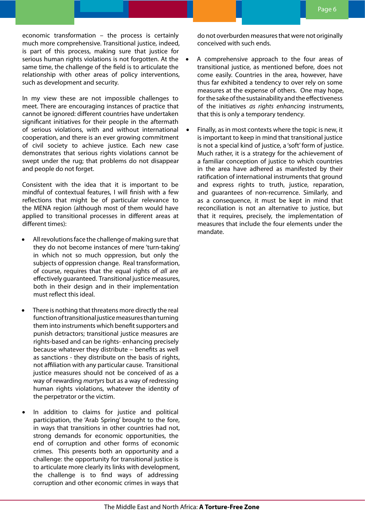economic transformation – the process is certainly much more comprehensive. Transitional justice, indeed, is part of this process, making sure that justice for serious human rights violations is not forgotten. At the  $\bullet$ same time, the challenge of the field is to articulate the relationship with other areas of policy interventions, such as development and security.

In my view these are not impossible challenges to meet. There are encouraging instances of practice that cannot be ignored: different countries have undertaken significant initiatives for their people in the aftermath of serious violations, with and without international cooperation, and there is an ever growing commitment of civil society to achieve justice. Each new case demonstrates that serious rights violations cannot be swept under the rug; that problems do not disappear and people do not forget.

Consistent with the idea that it is important to be mindful of contextual features, I will finish with a few reflections that might be of particular relevance to the MENA region (although most of them would have applied to transitional processes in different areas at different times):

- All revolutions face the challenge of making sure that they do not become instances of mere 'turn-taking' in which not so much oppression, but only the subjects of oppression change. Real transformation, of course, requires that the equal rights of *all* are effectively guaranteed. Transitional justice measures, both in their design and in their implementation must reflect this ideal.
- There is nothing that threatens more directly the real function of transitional justice measures than turning them into instruments which benefit supporters and punish detractors; transitional justice measures are rights-based and can be rights- enhancing precisely because whatever they distribute – benefits as well as sanctions - they distribute on the basis of rights, not affiliation with any particular cause. Transitional justice measures should not be conceived of as a way of rewarding *martyrs* but as a way of redressing human rights violations, whatever the identity of the perpetrator or the victim.
- In addition to claims for justice and political participation, the 'Arab Spring' brought to the fore, in ways that transitions in other countries had not, strong demands for economic opportunities, the end of corruption and other forms of economic crimes. This presents both an opportunity and a challenge: the opportunity for transitional justice is to articulate more clearly its links with development, the challenge is to find ways of addressing corruption and other economic crimes in ways that

do not overburden measures that were not originally conceived with such ends.

- A comprehensive approach to the four areas of transitional justice, as mentioned before, does not come easily. Countries in the area, however, have thus far exhibited a tendency to over rely on some measures at the expense of others. One may hope, for the sake of the sustainability and the effectiveness of the initiatives *as rights enhancing* instruments, that this is only a temporary tendency.
- Finally, as in most contexts where the topic is new, it is important to keep in mind that transitional justice is not a special kind of justice, a 'soft' form of justice. Much rather, it is a strategy for the achievement of a familiar conception of justice to which countries in the area have adhered as manifested by their ratification of international instruments that ground and express rights to truth, justice, reparation, and guarantees of non-recurrence. Similarly, and as a consequence, it must be kept in mind that reconciliation is not an alternative to justice, but that it requires, precisely, the implementation of measures that include the four elements under the mandate.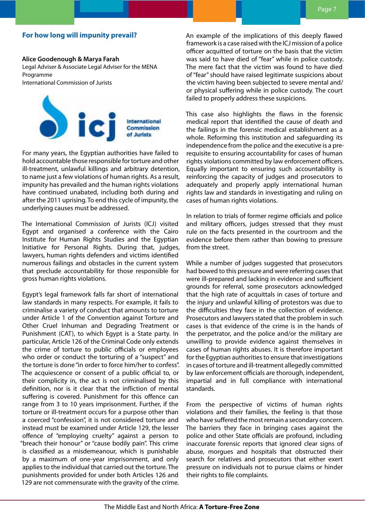## <span id="page-6-0"></span>**For how long will impunity prevail?**

#### **Alice Goodenough & Marya Farah**

Legal Adviser & Associate Legal Adviser for the MENA Programme

International Commission of Jurists



For many years, the Egyptian authorities have failed to hold accountable those responsible for torture and other ill-treatment, unlawful killings and arbitrary detention, to name just a few violations of human rights. As a result, impunity has prevailed and the human rights violations have continued unabated, including both during and after the 2011 uprising. To end this cycle of impunity, the underlying causes must be addressed.

The International Commission of Jurists (ICJ) visited Egypt and organised a conference with the Cairo Institute for Human Rights Studies and the Egyptian Initiative for Personal Rights. During that, judges, lawyers, human rights defenders and victims identified numerous failings and obstacles in the current system that preclude accountability for those responsible for gross human rights violations.

Egypt's legal framework falls far short of international law standards in many respects. For example, it fails to criminalise a variety of conduct that amounts to torture under Article 1 of the Convention against Torture and Other Cruel Inhuman and Degrading Treatment or Punishment (CAT), to which Egypt is a State party. In particular, Article 126 of the Criminal Code only extends the crime of torture to public officials or employees who order or conduct the torturing of a "suspect" and the torture is done "in order to force him/her to confess". The acquiescence or consent of a public official to, or their complicity in, the act is not criminalised by this definition, nor is it clear that the infliction of mental suffering is covered. Punishment for this offence can range from 3 to 10 years imprisonment. Further, if the torture or ill-treatment occurs for a purpose other than a coerced "confession", it is not considered torture and instead must be examined under Article 129, the lesser offence of "employing cruelty" against a person to "breach their honour" or "cause bodily pain". This crime is classified as a misdemeanour, which is punishable by a maximum of one-year imprisonment, and only applies to the individual that carried out the torture. The punishments provided for under both Articles 126 and 129 are not commensurate with the gravity of the crime.

An example of the implications of this deeply flawed framework is a case raised with the ICJ mission of a police officer acquitted of torture on the basis that the victim was said to have died of "fear" while in police custody. The mere fact that the victim was found to have died of "fear" should have raised legitimate suspicions about the victim having been subjected to severe mental and/ or physical suffering while in police custody. The court failed to properly address these suspicions.

This case also highlights the flaws in the forensic medical report that identified the cause of death and the failings in the forensic medical establishment as a whole. Reforming this institution and safeguarding its independence from the police and the executive is a prerequisite to ensuring accountability for cases of human rights violations committed by law enforcement officers. Equally important to ensuring such accountability is reinforcing the capacity of judges and prosecutors to adequately and properly apply international human rights law and standards in investigating and ruling on cases of human rights violations.

In relation to trials of former regime officials and police and military officers, judges stressed that they must rule on the facts presented in the courtroom and the evidence before them rather than bowing to pressure from the street.

While a number of judges suggested that prosecutors had bowed to this pressure and were referring cases that were ill-prepared and lacking in evidence and sufficient grounds for referral, some prosecutors acknowledged that the high rate of acquittals in cases of torture and the injury and unlawful killing of protestors was due to the difficulties they face in the collection of evidence. Prosecutors and lawyers stated that the problem in such cases is that evidence of the crime is in the hands of the perpetrator, and the police and/or the military are unwilling to provide evidence against themselves in cases of human rights abuses. It is therefore important for the Egyptian authorities to ensure that investigations in cases of torture and ill-treatment allegedly committed by law enforcement officials are thorough, independent, impartial and in full compliance with international standards.

From the perspective of victims of human rights violations and their families, the feeling is that those who have suffered the most remain a secondary concern. The barriers they face in bringing cases against the police and other State officials are profound, including inaccurate forensic reports that ignored clear signs of abuse, morgues and hospitals that obstructed their search for relatives and prosecutors that either exert pressure on individuals not to pursue claims or hinder their rights to file complaints.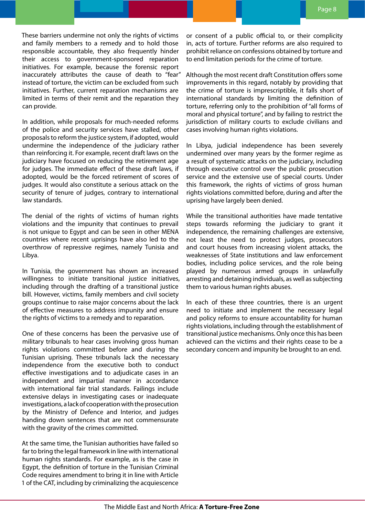These barriers undermine not only the rights of victims and family members to a remedy and to hold those responsible accountable, they also frequently hinder their access to government-sponsored reparation initiatives. For example, because the forensic report inaccurately attributes the cause of death to "fear" instead of torture, the victim can be excluded from such initiatives. Further, current reparation mechanisms are limited in terms of their remit and the reparation they can provide.

In addition, while proposals for much-needed reforms of the police and security services have stalled, other proposals to reform the justice system, if adopted, would undermine the independence of the judiciary rather than reinforcing it. For example, recent draft laws on the judiciary have focused on reducing the retirement age for judges. The immediate effect of these draft laws, if adopted, would be the forced retirement of scores of judges. It would also constitute a serious attack on the security of tenure of judges, contrary to international law standards.

The denial of the rights of victims of human rights violations and the impunity that continues to prevail is not unique to Egypt and can be seen in other MENA countries where recent uprisings have also led to the overthrow of repressive regimes, namely Tunisia and Libya.

In Tunisia, the government has shown an increased willingness to initiate transitional justice initiatives, including through the drafting of a transitional justice bill. However, victims, family members and civil society groups continue to raise major concerns about the lack of effective measures to address impunity and ensure the rights of victims to a remedy and to reparation.

One of these concerns has been the pervasive use of military tribunals to hear cases involving gross human rights violations committed before and during the Tunisian uprising. These tribunals lack the necessary independence from the executive both to conduct effective investigations and to adjudicate cases in an independent and impartial manner in accordance with international fair trial standards. Failings include extensive delays in investigating cases or inadequate investigations, a lack of cooperation with the prosecution by the Ministry of Defence and Interior, and judges handing down sentences that are not commensurate with the gravity of the crimes committed.

At the same time, the Tunisian authorities have failed so far to bring the legal framework in line with international human rights standards. For example, as is the case in Egypt, the definition of torture in the Tunisian Criminal Code requires amendment to bring it in line with Article 1 of the CAT, including by criminalizing the acquiescence or consent of a public official to, or their complicity in, acts of torture. Further reforms are also required to prohibit reliance on confessions obtained by torture and to end limitation periods for the crime of torture.

Although the most recent draft Constitution offers some improvements in this regard, notably by providing that the crime of torture is imprescriptible, it falls short of international standards by limiting the definition of torture, referring only to the prohibition of "all forms of moral and physical torture", and by failing to restrict the jurisdiction of military courts to exclude civilians and cases involving human rights violations.

In Libya, judicial independence has been severely undermined over many years by the former regime as a result of systematic attacks on the judiciary, including through executive control over the public prosecution service and the extensive use of special courts. Under this framework, the rights of victims of gross human rights violations committed before, during and after the uprising have largely been denied.

While the transitional authorities have made tentative steps towards reforming the judiciary to grant it independence, the remaining challenges are extensive, not least the need to protect judges, prosecutors and court houses from increasing violent attacks, the weaknesses of State institutions and law enforcement bodies, including police services, and the role being played by numerous armed groups in unlawfully arresting and detaining individuals, as well as subjecting them to various human rights abuses.

In each of these three countries, there is an urgent need to initiate and implement the necessary legal and policy reforms to ensure accountability for human rights violations, including through the establishment of transitional justice mechanisms. Only once this has been achieved can the victims and their rights cease to be a secondary concern and impunity be brought to an end.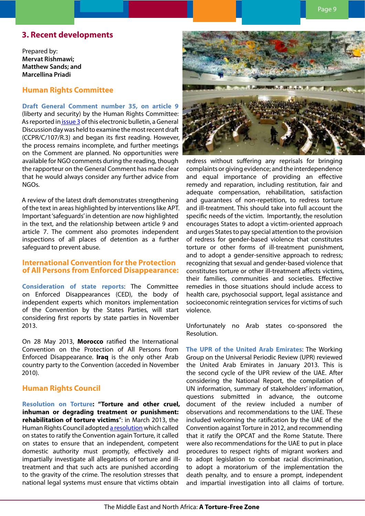# <span id="page-8-0"></span>**3. Recent developments**

Prepared by: **Mervat Rishmawi; Matthew Sands; and Marcellina Priadi**

## **Human Rights Committee**

**Draft General Comment number 35, on article 9** (liberty and security) by the Human Rights Committee: As reported in [issue 3](http://www.apt.ch/content/files_res/mena_bulletin03_en.pdf) of this electronic bulletin, a General Discussion day was held to examine the most recent draft (CCPR/C/107/R.3) and began its first reading. However, the process remains incomplete, and further meetings on the Comment are planned. No opportunities were available for NGO comments during the reading, though the rapporteur on the General Comment has made clear that he would always consider any further advice from NGOs.

A review of the latest draft demonstrates strengthening of the text in areas highlighted by interventions like APT. Important 'safeguards' in detention are now highlighted in the text, and the relationship between article 9 and article 7. The comment also promotes independent inspections of all places of detention as a further safeguard to prevent abuse.

## **International Convention for the Protection of All Persons from Enforced Disappearance:**

**Consideration of state reports**: The Committee on Enforced Disappearances (CED), the body of independent experts which monitors implementation of the Convention by the States Parties, will start considering first reports by state parties in November 2013.

On 28 May 2013, **Morocco** ratified the International Convention on the Protection of All Persons from Enforced Disappearance. **Iraq** is the only other Arab country party to the Convention (acceded in November 2010).

# **Human Rights Council**

**Resolution on Torture: "Torture and other cruel, inhuman or degrading treatment or punishment: rehabilitation of torture victims**": in March 2013, the Human Rights Council adopted [a resolution](http://daccess-dds-ny.un.org/doc/RESOLUTION/LTD/G13/123/10/PDF/G1312310.pdf?OpenElement) which called on states to ratify the Convention again Torture, it called on states to ensure that an independent, competent domestic authority must promptly, effectively and impartially investigate all allegations of torture and illtreatment and that such acts are punished according to the gravity of the crime. The resolution stresses that national legal systems must ensure that victims obtain



redress without suffering any reprisals for bringing complaints or giving evidence; and the interdependence and equal importance of providing an effective remedy and reparation, including restitution, fair and adequate compensation, rehabilitation, satisfaction and guarantees of non-repetition, to redress torture and ill-treatment. This should take into full account the specific needs of the victim. Importantly, the resolution encourages States to adopt a victim-oriented approach and urges States to pay special attention to the provision of redress for gender-based violence that constitutes torture or other forms of ill-treatment punishment, and to adopt a gender-sensitive approach to redress; recognizing that sexual and gender-based violence that constitutes torture or other ill-treatment affects victims, their families, communities and societies. Effective remedies in those situations should include access to health care, psychosocial support, legal assistance and socioeconomic reintegration services for victims of such violence.

Unfortunately no Arab states co-sponsored the Resolution.

**The UPR of the United Arab Emirates**: The Working Group on the Universal Periodic Review (UPR) reviewed the United Arab Emirates in January 2013. This is the second cycle of the UPR review of the UAE. After considering the National Report, the compilation of UN information, summary of stakeholders' information, questions submitted in advance, the outcome document of the review included a number of observations and recommendations to the UAE. These included welcoming the ratification by the UAE of the Convention against Torture in 2012, and recommending that it ratify the OPCAT and the Rome Statute. There were also recommendations for the UAE to put in place procedures to respect rights of migrant workers and to adopt legislation to combat racial discrimination, to adopt a moratorium of the implementation the death penalty, and to ensure a prompt, independent and impartial investigation into all claims of torture.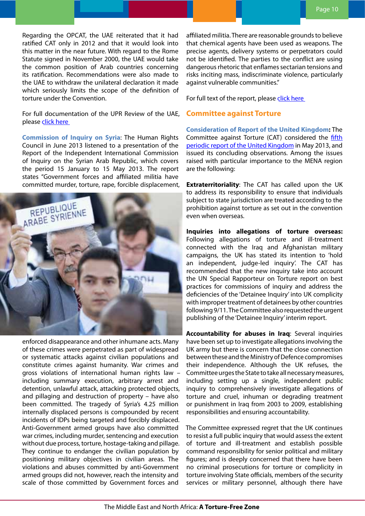<span id="page-9-0"></span>Regarding the OPCAT, the UAE reiterated that it had ratified CAT only in 2012 and that it would look into this matter in the near future. With regard to the Rome Statute signed in November 2000, the UAE would take the common position of Arab countries concerning its ratification. Recommendations were also made to the UAE to withdraw the unilateral declaration it made which seriously limits the scope of the definition of torture under the Convention.

For full documentation of the UPR Review of the UAE, please click here

**Commission of Inquiry on Syria**: The Human Rights Council in June 2013 listened to a presentation of the Report of the Independent International Commission of Inquiry on the Syrian Arab Republic, which covers the period 15 January to 15 May 2013. The report states "Government forces and affiliated militia have committed murder, torture, rape, forcible displacement,



enforced disappearance and other inhumane acts. Many of these crimes were perpetrated as part of widespread or systematic attacks against civilian populations and constitute crimes against humanity. War crimes and gross violations of international human rights law – including summary execution, arbitrary arrest and detention, unlawful attack, attacking protected objects, and pillaging and destruction of property – have also been committed. The tragedy of Syria's 4.25 million internally displaced persons is compounded by recent incidents of IDPs being targeted and forcibly displaced. Anti-Government armed groups have also committed war crimes, including murder, sentencing and execution without due process, torture, hostage-taking and pillage. They continue to endanger the civilian population by positioning military objectives in civilian areas. The violations and abuses committed by anti-Government armed groups did not, however, reach the intensity and scale of those committed by Government forces and

affiliated militia. There are reasonable grounds to believe that chemical agents have been used as weapons. The precise agents, delivery systems or perpetrators could not be identified. The parties to the conflict are using dangerous rhetoric that enflames sectarian tensions and risks inciting mass, indiscriminate violence, particularly against vulnerable communities."

For full text of the report, please [click here](http://www.ohchr.org/Documents/HRBodies/HRCouncil/CoISyria/A-HRC-23-58_en.pdf)

### **Committee against Torture**

**Consideration of Report of the United Kingdom:** The Committee against Torture (CAT) considered the [fifth](http://tbinternet.ohchr.org/_layouts/treatybodyexternal/Download.aspx?symbolno=CAT%2fC%2fGBR%2fCO%2f5&Lang=en)  [periodic report of the United Kingdom](http://tbinternet.ohchr.org/_layouts/treatybodyexternal/Download.aspx?symbolno=CAT%2fC%2fGBR%2fCO%2f5&Lang=en) in May 2013, and issued its concluding observations. Among the issues raised with particular importance to the MENA region are the following:

**Extraterritoriality**: The CAT has called upon the UK to address its responsibility to ensure that individuals subject to state jurisdiction are treated according to the prohibition against torture as set out in the convention even when overseas.

**Inquiries into allegations of torture overseas:**  Following allegations of torture and ill-treatment connected with the Iraq and Afghanistan military campaigns, the UK has stated its intention to 'hold an independent, judge-led inquiry'. The CAT has recommended that the new inquiry take into account the UN Special Rapporteur on Torture report on best practices for commissions of inquiry and address the deficiencies of the 'Detainee Inquiry' into UK complicity with improper treatment of detainees by other countries following 9/11. The Committee also requested the urgent publishing of the 'Detainee Inquiry' interim report.

**Accountability for abuses in Iraq**: Several inquiries have been set up to investigate allegations involving the UK army but there is concern that the close connection between these and the Ministry of Defence compromises their independence. Although the UK refuses, the Committee urges the State to take all necessary measures, including setting up a single, independent public inquiry to comprehensively investigate allegations of torture and cruel, inhuman or degrading treatment or punishment in Iraq from 2003 to 2009, establishing responsibilities and ensuring accountability.

The Committee expressed regret that the UK continues to resist a full public inquiry that would assess the extent of torture and ill-treatment and establish possible command responsibility for senior political and military figures; and is deeply concerned that there have been no criminal prosecutions for torture or complicity in torture involving State officials, members of the security services or military personnel, although there have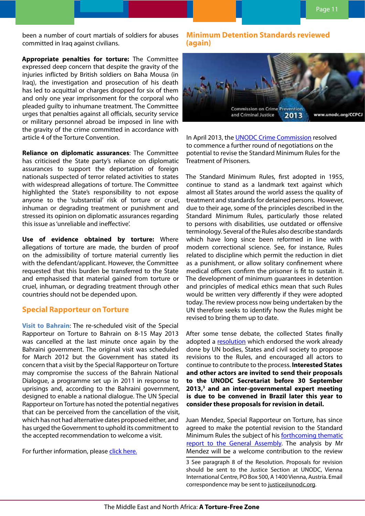<span id="page-10-0"></span>been a number of court martials of soldiers for abuses committed in Iraq against civilians.

**Appropriate penalties for torture:** The Committee expressed deep concern that despite the gravity of the injuries inflicted by British soldiers on Baha Mousa (in Iraq), the investigation and prosecution of his death has led to acquittal or charges dropped for six of them and only one year imprisonment for the corporal who pleaded guilty to inhumane treatment. The Committee urges that penalties against all officials, security service or military personnel abroad be imposed in line with the gravity of the crime committed in accordance with article 4 of the Torture Convention.

**Reliance on diplomatic assurances**: The Committee has criticised the State party's reliance on diplomatic assurances to support the deportation of foreign nationals suspected of terror related activities to states with widespread allegations of torture. The Committee highlighted the State's responsibility to not expose anyone to the 'substantial' risk of torture or cruel, inhuman or degrading treatment or punishment and stressed its opinion on diplomatic assurances regarding this issue as 'unreliable and ineffective'.

**Use of evidence obtained by torture:** Where allegations of torture are made, the burden of proof on the admissibility of torture material currently lies with the defendant/applicant. However, the Committee requested that this burden be transferred to the State and emphasised that material gained from torture or cruel, inhuman, or degrading treatment through other countries should not be depended upon.

## **Special Rapporteur on Torture**

**Visit to Bahrain**: The re-scheduled visit of the Special Rapporteur on Torture to Bahrain on 8-15 May 2013 was cancelled at the last minute once again by the Bahraini government. The original visit was scheduled for March 2012 but the Government has stated its concern that a visit by the Special Rapporteur on Torture may compromise the success of the Bahrain National Dialogue, a programme set up in 2011 in response to uprisings and, according to the Bahraini government, designed to enable a national dialogue. The UN Special Rapporteur on Torture has noted the potential negatives that can be perceived from the cancellation of the visit, which has not had alternative dates proposed either, and has urged the Government to uphold its commitment to the accepted recommendation to welcome a visit.

For further information, please [click here](http://www.ohchr.org/EN/NewsEvents/Pages/DisplayNews.aspx?NewsID=13261&LangID=E).

## **Minimum Detention Standards reviewed (again)**



In April 2013, the [UNODC Crime Commission](http://www.unodc.org/unodc/en/commissions/CCPCJ/session/21.html) resolved to commence a further round of negotiations on the potential to revise the Standard Minimum Rules for the Treatment of Prisoners.

The Standard Minimum Rules, first adopted in 1955, continue to stand as a landmark text against which almost all States around the world assess the quality of treatment and standards for detained persons. However, due to their age, some of the principles described in the Standard Minimum Rules, particularly those related to persons with disabilities, use outdated or offensive terminology. Several of the Rules also describe standards which have long since been reformed in line with modern correctional science. See, for instance, Rules related to discipline which permit the reduction in diet as a punishment, or allow solitary confinement where medical officers confirm the prisoner is fit to sustain it. The development of minimum guarantees in detention and principles of medical ethics mean that such Rules would be written very differently if they were adopted today. The review process now being undertaken by the UN therefore seeks to identify how the Rules might be revised to bring them up to date.

After some tense debate, the collected States finally adopted a [resolution](http://www.un.org/Docs/journal/asp/ws.asp?m=E/CN.15/2013/L.22/Rev.1) which endorsed the work already done by UN bodies, States and civil society to propose revisions to the Rules, and encouraged all actors to continue to contribute to the process. **Interested States and other actors are invited to send their proposals to the UNODC Secretariat before 30 September 2013,3 and an inter-governmental expert meeting is due to be convened in Brazil later this year to consider these proposals for revision in detail.**

Juan Mendez, Special Rapporteur on Torture, has since agreed to make the potential revision to the Standard Minimum Rules the subject of his **forthcoming thematic** [report to the General Assembly](http://antitorture.org/sm/). The analysis by Mr Mendez will be a welcome contribution to the review

3 See paragraph 8 of the Resolution. Proposals for revision should be sent to the Justice Section at UNODC, Vienna International Centre, PO Box 500, A 1400 Vienna, Austria. Email correspondence may be sent to [justice@unodc.org](mailto:justice@unodc.org).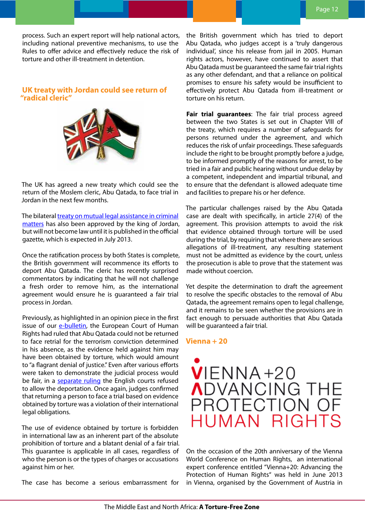<span id="page-11-0"></span>process. Such an expert report will help national actors, including national preventive mechanisms, to use the Rules to offer advice and effectively reduce the risk of torture and other ill-treatment in detention.

## **UK treaty with Jordan could see return of "radical cleric"**



The UK has agreed a new treaty which could see the return of the Moslem cleric, Abu Qatada, to face trial in Jordan in the next few months.

The bilateral *[treaty on mutual legal assistance in criminal](https://www.gov.uk/government/uploads/system/uploads/attachment_data/file/192197/treaty.pdf)* [matters](https://www.gov.uk/government/uploads/system/uploads/attachment_data/file/192197/treaty.pdf) has also been approved by the king of Jordan, but will not become law until it is published in the official gazette, which is expected in July 2013.

Once the ratification process by both States is complete, the British government will recommence its efforts to deport Abu Qatada. The cleric has recently surprised commentators by indicating that he will not challenge a fresh order to remove him, as the international agreement would ensure he is guaranteed a fair trial process in Jordan.

Previously, as highlighted in an opinion piece in the first issue of our [e-bulletin,](http://www.apt.ch/content/files_res/mena_bulletin01_en.pdf) the European Court of Human Rights had ruled that Abu Qatada could not be returned to face retrial for the terrorism conviction determined in his absence, as the evidence held against him may have been obtained by torture, which would amount to "a flagrant denial of justice." Even after various efforts were taken to demonstrate the judicial process would be fair, in a separate ruling the English courts refused to allow the deportation. Once again, judges confirmed that returning a person to face a trial based on evidence obtained by torture was a violation of their international legal obligations.

The use of evidence obtained by torture is forbidden in international law as an inherent part of the absolute prohibition of torture and a blatant denial of a fair trial. This guarantee is applicable in all cases, regardless of who the person is or the types of charges or accusations against him or her.

The case has become a serious embarrassment for

the British government which has tried to deport Abu Qatada, who judges accept is a 'truly dangerous individual', since his release from jail in 2005. Human rights actors, however, have continued to assert that Abu Qatada must be guaranteed the same fair trial rights as any other defendant, and that a reliance on political promises to ensure his safety would be insufficient to effectively protect Abu Qatada from ill-treatment or torture on his return.

**Fair trial guarantees**: The fair trial process agreed between the two States is set out in Chapter VIII of the treaty, which requires a number of safeguards for persons returned under the agreement, and which reduces the risk of unfair proceedings. These safeguards include the right to be brought promptly before a judge, to be informed promptly of the reasons for arrest, to be tried in a fair and public hearing without undue delay by a competent, independent and impartial tribunal, and to ensure that the defendant is allowed adequate time and facilities to prepare his or her defence.

The particular challenges raised by the Abu Qatada case are dealt with specifically, in article 27(4) of the agreement. This provision attempts to avoid the risk that evidence obtained through torture will be used during the trial, by requiring that where there are serious allegations of ill-treatment, any resulting statement must not be admitted as evidence by the court, unless the prosecution is able to prove that the statement was made without coercion.

Yet despite the determination to draft the agreement to resolve the specific obstacles to the removal of Abu Qatada, the agreement remains open to legal challenge, and it remains to be seen whether the provisions are in fact enough to persuade authorities that Abu Qatada will be guaranteed a fair trial.

#### **Vienna + 20**



On the occasion of the 20th anniversary of the Vienna World Conference on Human Rights, an international expert conference entitled "Vienna+20: Advancing the Protection of Human Rights" was held in June 2013 in Vienna, organised by the Government of Austria in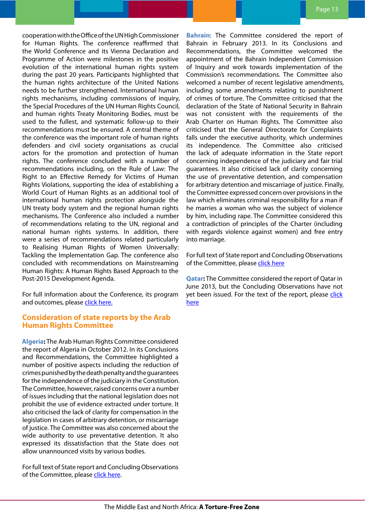<span id="page-12-0"></span>cooperation with the Office of the UN High Commissioner for Human Rights. The conference reaffirmed that the World Conference and its Vienna Declaration and Programme of Action were milestones in the positive evolution of the international human rights system during the past 20 years. Participants highlighted that the human rights architecture of the United Nations needs to be further strengthened. International human rights mechanisms, including commissions of inquiry, the Special Procedures of the UN Human Rights Council, and human rights Treaty Monitoring Bodies, must be used to the fullest, and systematic follow-up to their recommendations must be ensured. A central theme of the conference was the important role of human rights defenders and civil society organisations as crucial actors for the promotion and protection of human rights. The conference concluded with a number of recommendations including, on the Rule of Law: The Right to an Effective Remedy for Victims of Human Rights Violations, supporting the idea of establishing a World Court of Human Rights as an additional tool of international human rights protection alongside the UN treaty body system and the regional human rights mechanisms. The Conference also included a number of recommendations relating to the UN, regional and national human rights systems. In addition, there were a series of recommendations related particularly to Realising Human Rights of Women Universally: Tackling the Implementation Gap. The conference also concluded with recommendations on Mainstreaming Human Rights: A Human Rights Based Approach to the Post-2015 Development Agenda.

For full information about the Conference, its program and outcomes, please click [here](http://www.bmeia.gv.at/en/foreign-ministry/foreign-policy/human-rights/vienna-20-high-level-conference-on-human-rights-on-2728-june-2013.html).

## **Consideration of state reports by the Arab Human Rights Committee**

**Algeria:** The Arab Human Rights Committee considered the report of Algeria in October 2012. In its Conclusions and Recommendations, the Committee highlighted a number of positive aspects including the reduction of crimes punished by the death penalty and the guarantees for the independence of the judiciary in the Constitution. The Committee, however, raised concerns over a number of issues including that the national legislation does not prohibit the use of evidence extracted under torture. It also criticised the lack of clarity for compensation in the legislation in cases of arbitrary detention, or miscarriage of justice. The Committee was also concerned about the wide authority to use preventative detention. It also expressed its dissatisfaction that the State does not allow unannounced visits by various bodies.

For full text of State report and Concluding Observations of the Committee, please click [here](http://www.lasportal.org/wps/portal/las_ar_humanrights/inpage/!ut/p/c5/vY3BDoIwEES_hQ8w2yKhegRBrA01YEXoxaAxaAHRSED8ejHxKifj7mGTmZ15IKHfS9qcs7Q-V5e0gBikuUM4FBvmYeQZjo0oCZhuRtRHSx22kNiwBJkV1f79PusVOZQRxsf_MhYCvqjKIyQgydcWTkBAjIzdWnVX-syfoSKhX-cnJpTb-o475kryWtmMO5t2jdqHyDGr97PWdycdPkxxNA9ca1HcVveJNsyaG39kmT9lXcumnNKR1_Q3szTtBWlnCoY!/dl3/d3/L2dBISEvZ0FBIS9nQSEh/?pcid=9c8bcd0047335c82a506ad3ebe8887b5).

**Bahrain**: The Committee considered the report of Bahrain in February 2013. In its Conclusions and Recommendations, the Committee welcomed the appointment of the Bahrain Independent Commission of Inquiry and work towards implementation of the Commission's recommendations. The Committee also welcomed a number of recent legislative amendments, including some amendments relating to punishment of crimes of torture. The Committee criticised that the declaration of the State of National Security in Bahrain was not consistent with the requirements of the Arab Charter on Human Rights. The Committee also criticised that the General Directorate for Complaints falls under the executive authority, which undermines its independence. The Committee also criticised the lack of adequate information in the State report concerning independence of the judiciary and fair trial guarantees. It also criticised lack of clarity concerning the use of preventative detention, and compensation for arbitrary detention and miscarriage of justice. Finally, the Committee expressed concern over provisions in the law which eliminates criminal responsibility for a man if he marries a woman who was the subject of violence by him, including rape. The Committee considered this a contradiction of principles of the Charter (including with regards violence against women) and free entry into marriage.

For full text of State report and Concluding Observations of the Committee, please clic[k here](http://www.lasportal.org/wps/portal/las_ar_humanrights/inpage/!ut/p/c5/vY3BDoIwEES_hQ8w2yKhegRBrA01YEXoxaAxaAHRSED8ejHxKifj7mGTmZ15IKHfS9qcs7Q-V5e0gBikuUM4FBvmYeQZjo0oCZhuRtRHSx22kNiwBJkV1f79PusVOZQRxsf_MhYCvqjKIyQgydcWTkBAjIzdWnVX-syfoSKhX-cnJpTb-o475kryWtmMO5t2jdqHyDGr97PWdycdPkxxNA9ca1HcVveJNsyaG39kmT9lXcumnNKR1_Q3szTtBWlnCoY!/dl3/d3/L2dBISEvZ0FBIS9nQSEh/?pcid=9c8bcd0047335c82a506ad3ebe8887b5)

**Qatar:** The Committee considered the report of Qatar in June 2013, but the Concluding Observations have not yet been issued. For the text of the report, please click [here](http://www.lasportal.org/wps/portal/las_ar_humanrights/inpage/!ut/p/c5/vY3BDoIwEES_hQ8w2yKhegRBrA01YEXoxaAxaAHRSED8ejHxKifj7mGTmZ15IKHfS9qcs7Q-V5e0gBikuUM4FBvmYeQZjo0oCZhuRtRHSx22kNiwBJkV1f79PusVOZQRxsf_MhYCvqjKIyQgydcWTkBAjIzdWnVX-syfoSKhX-cnJpTb-o475kryWtmMO5t2jdqHyDGr97PWdycdPkxxNA9ca1HcVveJNsyaG39kmT9lXcumnNKR1_Q3szTtBWlnCoY!/dl3/d3/L2dBISEvZ0FBIS9nQSEh/?pcid=9c8bcd0047335c82a506ad3ebe8887b5)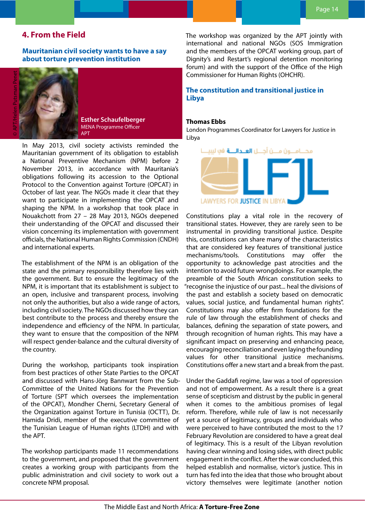# <span id="page-13-0"></span>**4. From the Field**

**Mauritanian civil society wants to have a say about torture prevention institution**

**Esther Schaufelberger** MENA Programme Officer APT

In May 2013, civil society activists reminded the Mauritanian government of its obligation to establish a National Preventive Mechanism (NPM) before 2 November 2013, in accordance with Mauritania's obligations following its accession to the Optional Protocol to the Convention against Torture (OPCAT) in October of last year. The NGOs made it clear that they want to participate in implementing the OPCAT and shaping the NPM. In a workshop that took place in Nouakchott from 27 – 28 May 2013, NGOs deepened their understanding of the OPCAT and discussed their vision concerning its implementation with government officials, the National Human Rights Commission (CNDH) and international experts.

The establishment of the NPM is an obligation of the state and the primary responsibility therefore lies with the government. But to ensure the legitimacy of the NPM, it is important that its establishment is subject to an open, inclusive and transparent process, involving not only the authorities, but also a wide range of actors, including civil society. The NGOs discussed how they can best contribute to the process and thereby ensure the independence and efficiency of the NPM. In particular, they want to ensure that the composition of the NPM will respect gender-balance and the cultural diversity of the country.

During the workshop, participants took inspiration from best practices of other State Parties to the OPCAT and discussed with Hans-Jörg Bannwart from the Sub-Committee of the United Nations for the Prevention of Torture (SPT which oversees the implementation of the OPCAT), Mondher Cherni, Secretary General of the Organization against Torture in Tunisia (OCTT), Dr. Hamida Dridi, member of the executive committee of the Tunisian League of Human rights (LTDH) and with the APT.

The workshop participants made 11 recommendations to the government, and proposed that the government creates a working group with participants from the public administration and civil society to work out a concrete NPM proposal.

The workshop was organized by the APT jointly with international and national NGOs (SOS Immigration and the members of the OPCAT working group, part of Dignity's and Restart's regional detention monitoring forum) and with the support of the Office of the High Commissioner for Human Rights (OHCHR).

## **The constitution and transitional justice in Libya**

#### **Thomas Ebbs**

London Programmes Coordinator for Lawyers for Justice in Libya



Constitutions play a vital role in the recovery of transitional states. However, they are rarely seen to be instrumental in providing transitional justice. Despite this, constitutions can share many of the characteristics that are considered key features of transitional justice mechanisms/tools. Constitutions may offer the opportunity to acknowledge past atrocities and the intention to avoid future wrongdoings. For example, the preamble of the South African constitution seeks to "recognise the injustice of our past... heal the divisions of the past and establish a society based on democratic values, social justice, and fundamental human rights". Constitutions may also offer firm foundations for the rule of law through the establishment of checks and balances, defining the separation of state powers, and through recognition of human rights. This may have a significant impact on preserving and enhancing peace, encouraging reconciliation and even laying the founding values for other transitional justice mechanisms. Constitutions offer a new start and a break from the past.

Under the Gaddafi regime, law was a tool of oppression and not of empowerment. As a result there is a great sense of scepticism and distrust by the public in general when it comes to the ambitious promises of legal reform. Therefore, while rule of law is not necessarily yet a source of legitimacy, groups and individuals who were perceived to have contributed the most to the 17 February Revolution are considered to have a great deal of legitimacy. This is a result of the Libyan revolution having clear winning and losing sides, with direct public engagement in the conflict. After the war concluded, this helped establish and normalise, victor's justice. This in turn has fed into the idea that those who brought about victory themselves were legitimate (another notion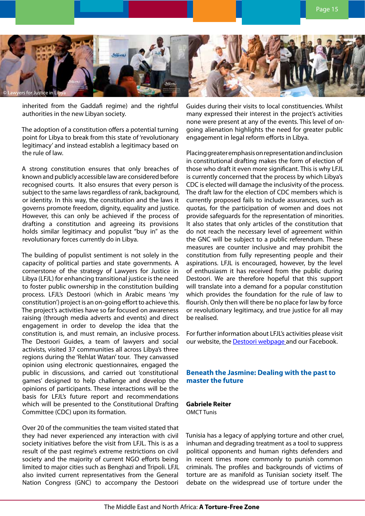<span id="page-14-0"></span>

inherited from the Gaddafi regime) and the rightful authorities in the new Libyan society.

The adoption of a constitution offers a potential turning point for Libya to break from this state of 'revolutionary legitimacy' and instead establish a legitimacy based on the rule of law.

A strong constitution ensures that only breaches of known and publicly accessible law are considered before recognised courts. It also ensures that every person is subject to the same laws regardless of rank, background, or identity. In this way, the constitution and the laws it governs promote freedom, dignity, equality and justice. However, this can only be achieved if the process of drafting a constitution and agreeing its provisions holds similar legitimacy and populist "buy in" as the revolutionary forces currently do in Libya.

The building of populist sentiment is not solely in the capacity of political parties and state governments. A cornerstone of the strategy of Lawyers for Justice in Libya (LFJL) for enhancing transitional justice is the need to foster public ownership in the constitution building process. LFJL's Destoori (which in Arabic means 'my constitution') project is an on-going effort to achieve this. The project's activities have so far focused on awareness raising (through media adverts and events) and direct engagement in order to develop the idea that the constitution is, and must remain, an inclusive process. The Destoori Guides, a team of lawyers and social activists, visited 37 communities all across Libya's three regions during the 'Rehlat Watan' tour. They canvassed opinion using electronic questionnaires, engaged the public in discussions, and carried out 'constitutional games' designed to help challenge and develop the opinions of participants. These interactions will be the basis for LFJL's future report and recommendations which will be presented to the Constitutional Drafting Committee (CDC) upon its formation.

Over 20 of the communities the team visited stated that they had never experienced any interaction with civil society initiatives before the visit from LFJL. This is as a result of the past regime's extreme restrictions on civil society and the majority of current NGO efforts being limited to major cities such as Benghazi and Tripoli. LFJL also invited current representatives from the General Nation Congress (GNC) to accompany the Destoori

Guides during their visits to local constituencies. Whilst many expressed their interest in the project's activities none were present at any of the events. This level of ongoing alienation highlights the need for greater public engagement in legal reform efforts in Libya.

Placing greater emphasis on representation and inclusion in constitutional drafting makes the form of election of those who draft it even more significant. This is why LFJL is currently concerned that the process by which Libya's CDC is elected will damage the inclusivity of the process. The draft law for the election of CDC members which is currently proposed fails to include assurances, such as quotas, for the participation of women and does not provide safeguards for the representation of minorities. It also states that only articles of the constitution that do not reach the necessary level of agreement within the GNC will be subject to a public referendum. These measures are counter inclusive and may prohibit the constitution from fully representing people and their aspirations. LFJL is encouraged, however, by the level of enthusiasm it has received from the public during Destoori. We are therefore hopeful that this support will translate into a demand for a popular constitution which provides the foundation for the rule of law to flourish. Only then will there be no place for law by force or revolutionary legitimacy, and true justice for all may be realised.

For further information about LFJL's activities please visit our website, the **[Destoori webpage](http://www.libyanjustice.org/destoori-/destoori)** and our Facebook.

## **Beneath the Jasmine: Dealing with the past to master the future**

# **Gabriele Reiter**

OMCT Tunis

Tunisia has a legacy of applying torture and other cruel, inhuman and degrading treatment as a tool to suppress political opponents and human rights defenders and in recent times more commonly to punish common criminals. The profiles and backgrounds of victims of torture are as manifold as Tunisian society itself. The debate on the widespread use of torture under the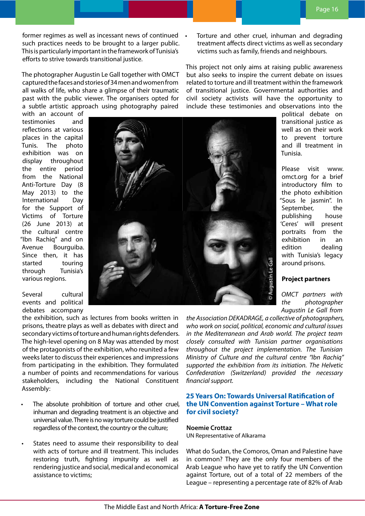<span id="page-15-0"></span>former regimes as well as incessant news of continued such practices needs to be brought to a larger public. This is particularly important in the framework of Tunisia's efforts to strive towards transitional justice.

The photographer Augustin Le Gall together with OMCT captured the faces and stories of 34 men and women from all walks of life, who share a glimpse of their traumatic past with the public viewer. The organisers opted for a subtle artistic approach using photography paired

with an account of testimonies and reflections at various places in the capital Tunis. The photo exhibition was on display throughout the entire period from the National Anti-Torture Day (8 May 2013) to the International Day for the Support of Victims of Torture (26 June 2013) at the cultural centre "Ibn Rachiq" and on Avenue Bourguiba. Since then, it has started touring through Tunisia's various regions.

Several cultural events and political debates accompany

the exhibition, such as lectures from books written in prisons, theatre plays as well as debates with direct and secondary victims of torture and human rights defenders. The high-level opening on 8 May was attended by most of the protagonists of the exhibition, who reunited a few weeks later to discuss their experiences and impressions from participating in the exhibition. They formulated a number of points and recommendations for various stakeholders, including the National Constituent Assembly:

- The absolute prohibition of torture and other cruel, inhuman and degrading treatment is an objective and universal value. There is no way torture could be justified regardless of the context, the country or the culture;
- States need to assume their responsibility to deal with acts of torture and ill treatment. This includes restoring truth, fighting impunity as well as rendering justice and social, medical and economical assistance to victims;

Torture and other cruel, inhuman and degrading treatment affects direct victims as well as secondary victims such as family, friends and neighbours.

This project not only aims at raising public awareness but also seeks to inspire the current debate on issues related to torture and ill treatment within the framework of transitional justice. Governmental authorities and civil society activists will have the opportunity to include these testimonies and observations into the

political debate on transitional justice as well as on their work to prevent torture and ill treatment in Tunisia.

Please visit www. omct.org for a brief introductory film to the photo exhibition "Sous le jasmin". In September, the publishing house 'Ceres' will present portraits from the exhibition in an edition dealing with Tunisia's legacy around prisons.

#### **Project partners**

*OMCT partners with the photographer Augustin Le Gall from* 

*the Association DEKADRAGE, a collective of photographers, who work on social, political, economic and cultural issues in the Mediterranean and Arab world. The project team closely consulted with Tunisian partner organisations throughout the project implementation. The Tunisian Ministry of Culture and the cultural centre "Ibn Rachiq" supported the exhibition from its initiation. The Helvetic Confederation (Switzerland) provided the necessary financial support.*

### **25 Years On: Towards Universal Ratification of the UN Convention against Torture – What role for civil society?**

#### **Noemie Crottaz**

UN Representative of Alkarama

What do Sudan, the Comoros, Oman and Palestine have in common? They are the only four members of the Arab League who have yet to ratify the UN Convention against Torture, out of a total of 22 members of the League – representing a percentage rate of 82% of Arab



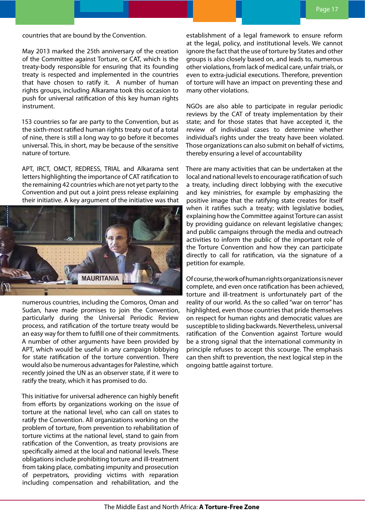countries that are bound by the Convention.

May 2013 marked the 25th anniversary of the creation of the Committee against Torture, or CAT, which is the treaty-body responsible for ensuring that its founding treaty is respected and implemented in the countries that have chosen to ratify it. A number of human rights groups, including Alkarama took this occasion to push for universal ratification of this key human rights instrument.

153 countries so far are party to the Convention, but as the sixth-most ratified human rights treaty out of a total of nine, there is still a long way to go before it becomes universal. This, in short, may be because of the sensitive nature of torture.

APT, IRCT, OMCT, REDRESS, TRIAL and Alkarama sent letters highlighting the importance of CAT ratification to the remaining 42 countries which are not yet party to the Convention and put out a joint press release explaining their initiative. A key argument of the initiative was that



numerous countries, including the Comoros, Oman and Sudan, have made promises to join the Convention, particularly during the Universal Periodic Review process, and ratification of the torture treaty would be an easy way for them to fulfill one of their commitments. A number of other arguments have been provided by APT, which would be useful in any campaign lobbying for state ratification of the torture convention. There would also be numerous advantages for Palestine, which recently joined the UN as an observer state, if it were to ratify the treaty, which it has promised to do.

This initiative for universal adherence can highly benefit from efforts by organizations working on the issue of torture at the national level, who can call on states to ratify the Convention. All organizations working on the problem of torture, from prevention to rehabilitation of torture victims at the national level, stand to gain from ratification of the Convention, as treaty provisions are specifically aimed at the local and national levels. These obligations include prohibiting torture and ill-treatment from taking place, combating impunity and prosecution of perpetrators, providing victims with reparation including compensation and rehabilitation, and the

establishment of a legal framework to ensure reform at the legal, policy, and institutional levels. We cannot ignore the fact that the use of torture by States and other groups is also closely based on, and leads to, numerous other violations, from lack of medical care, unfair trials, or even to extra-judicial executions. Therefore, prevention of torture will have an impact on preventing these and many other violations.

NGOs are also able to participate in regular periodic reviews by the CAT of treaty implementation by their state; and for those states that have accepted it, the review of individual cases to determine whether individual's rights under the treaty have been violated. Those organizations can also submit on behalf of victims, thereby ensuring a level of accountability

There are many activities that can be undertaken at the local and national levels to encourage ratification of such a treaty, including direct lobbying with the executive and key ministries, for example by emphasizing the positive image that the ratifying state creates for itself when it ratifies such a treaty; with legislative bodies, explaining how the Committee against Torture can assist by providing guidance on relevant legislative changes; and public campaigns through the media and outreach activities to inform the public of the important role of the Torture Convention and how they can participate directly to call for ratification, via the signature of a petition for example.

Of course, the work of human rights organizations is never complete, and even once ratification has been achieved, torture and ill-treatment is unfortunately part of the reality of our world. As the so called "war on terror" has highlighted, even those countries that pride themselves on respect for human rights and democratic values are susceptible to sliding backwards. Nevertheless, universal ratification of the Convention against Torture would be a strong signal that the international community in principle refuses to accept this scourge. The emphasis can then shift to prevention, the next logical step in the ongoing battle against torture.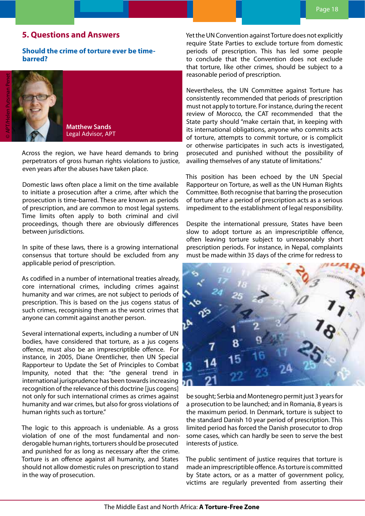## <span id="page-17-0"></span>**5. Questions and Answers**

## **Should the crime of torture ever be timebarred?**

**Matthew Sands** Legal Advisor, APT

Across the region, we have heard demands to bring perpetrators of gross human rights violations to justice, even years after the abuses have taken place.

Domestic laws often place a limit on the time available to initiate a prosecution after a crime, after which the prosecution is time-barred. These are known as periods of prescription, and are common to most legal systems. Time limits often apply to both criminal and civil proceedings, though there are obviously differences between jurisdictions.

In spite of these laws, there is a growing international consensus that torture should be excluded from any applicable period of prescription.

As codified in a number of international treaties already, core international crimes, including crimes against humanity and war crimes, are not subject to periods of prescription. This is based on the jus cogens status of such crimes, recognising them as the worst crimes that anyone can commit against another person.

Several international experts, including a number of UN bodies, have considered that torture, as a jus cogens offence, must also be an imprescriptible offence. For instance, in 2005, Diane Orentlicher, then UN Special Rapporteur to Update the Set of Principles to Combat Impunity, noted that the: "the general trend in international jurisprudence has been towards increasing recognition of the relevance of this doctrine [jus cogens] not only for such international crimes as crimes against humanity and war crimes, but also for gross violations of human rights such as torture."

The logic to this approach is undeniable. As a gross violation of one of the most fundamental and nonderogable human rights, torturers should be prosecuted and punished for as long as necessary after the crime. Torture is an offence against all humanity, and States should not allow domestic rules on prescription to stand in the way of prosecution.

Yet the UN Convention against Torture does not explicitly require State Parties to exclude torture from domestic periods of prescription. This has led some people to conclude that the Convention does not exclude that torture, like other crimes, should be subject to a reasonable period of prescription.

Nevertheless, the UN Committee against Torture has consistently recommended that periods of prescription must not apply to torture. For instance, during the recent review of Morocco, the CAT recommended that the State party should "make certain that, in keeping with its international obligations, anyone who commits acts of torture, attempts to commit torture, or is complicit or otherwise participates in such acts is investigated, prosecuted and punished without the possibility of availing themselves of any statute of limitations."

This position has been echoed by the UN Special Rapporteur on Torture, as well as the UN Human Rights Committee. Both recognise that barring the prosecution of torture after a period of prescription acts as a serious impediment to the establishment of legal responsibility.

Despite the international pressure, States have been slow to adopt torture as an imprescriptible offence, often leaving torture subject to unreasonably short prescription periods. For instance, in Nepal, complaints must be made within 35 days of the crime for redress to



be sought; Serbia and Montenegro permit just 3 years for a prosecution to be launched; and in Romania, 8 years is the maximum period. In Denmark, torture is subject to the standard Danish 10 year period of prescription. This limited period has forced the Danish prosecutor to drop some cases, which can hardly be seen to serve the best interests of justice.

The public sentiment of justice requires that torture is made an imprescriptible offence. As torture is committed by State actors, or as a matter of government policy, victims are regularly prevented from asserting their